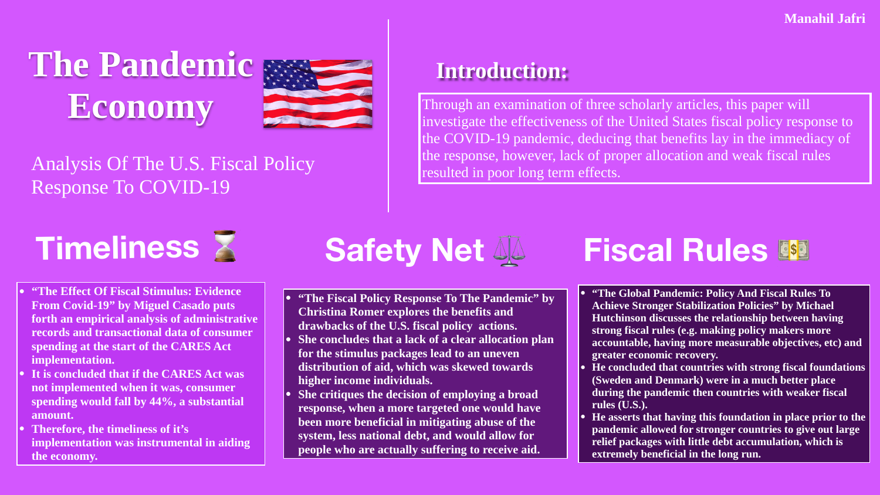# **Timeliness** ⌛

**• "The Fiscal Policy Response To The Pandemic" by • She concludes that a lack of a clear allocation plan distribution of aid, which was skewed towards** 

- **Christina Romer explores the benefits and drawbacks of the U.S. fiscal policy actions.**
- **for the stimulus packages lead to an uneven higher income individuals.**
- 

**• She critiques the decision of employing a broad response, when a more targeted one would have been more beneficial in mitigating abuse of the system, less national debt, and would allow for people who are actually suffering to receive aid.** 

## **Safety Net 44 Fiscal Rules &**

- **• "The Effect Of Fiscal Stimulus: Evidence From Covid-19" by Miguel Casado puts forth an empirical analysis of administrative records and transactional data of consumer spending at the start of the CARES Act implementation.**
- **• It is concluded that if the CARES Act was not implemented when it was, consumer spending would fall by 44%, a substantial amount.**
- **• Therefore, the timeliness of it's implementation was instrumental in aiding the economy.**

Through an examination of three scholarly articles, this paper will investigate the effectiveness of the United States fiscal policy response to the COVID-19 pandemic, deducing that benefits lay in the immediacy of the response, however, lack of proper allocation and weak fiscal rules resulted in poor long term effects.

- **• "The Global Pandemic: Policy And Fiscal Rules To Achieve Stronger Stabilization Policies" by Michael Hutchinson discusses the relationship between having strong fiscal rules (e.g. making policy makers more accountable, having more measurable objectives, etc) and greater economic recovery.**
- **• He concluded that countries with strong fiscal foundations (Sweden and Denmark) were in a much better place during the pandemic then countries with weaker fiscal rules (U.S.).**
- **• He asserts that having this foundation in place prior to the pandemic allowed for stronger countries to give out large relief packages with little debt accumulation, which is extremely beneficial in the long run.**



Analysis Of The U.S. Fiscal Policy Response To COVID-19

**The Pandemic Economy**



### **Introduction:**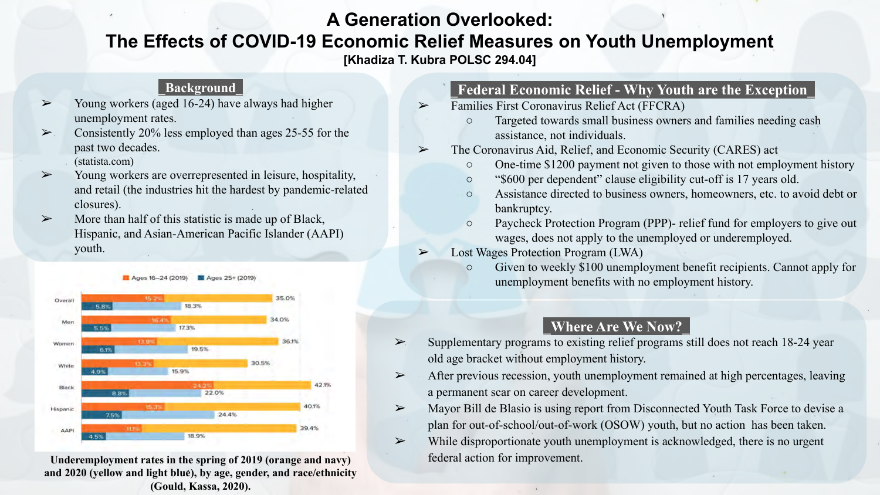#### **A Generation Overlooked:**

#### **The Effects of COVID-19 Economic Relief Measures on Youth Unemployment**

**[Khadiza T. Kubra POLSC 294.04]**

#### **\_Background\_**

- $\geq$  Young workers (aged 16-24) have always had higher unemployment rates.
- $\geq$  Consistently 20% less employed than ages 25-55 for the past two decades. (statista.com)
- ➢ Young workers are overrepresented in leisure, hospitality, and retail (the industries hit the hardest by pandemic-related closures).
- $\triangleright$  More than half of this statistic is made up of Black, Hispanic, and Asian-American Pacific Islander (AAPI) youth.



Underemployment rates in the spring of 2019 (orange and navy) federal action for improvement. **and 2020 (yellow and light blue), by age, gender, and race/ethnicity (Gould, Kassa, 2020).**

#### **\_Federal Economic Relief - Why Youth are the Exception\_**

- ➢ Families First Coronavirus Relief Act (FFCRA)
	- Targeted towards small business owners and families needing cash assistance, not individuals.
- ➢ The Coronavirus Aid, Relief, and Economic Security (CARES) act
	- One-time \$1200 payment not given to those with not employment history
	- "\$600 per dependent" clause eligibility cut-off is 17 years old.
	- Assistance directed to business owners, homeowners, etc. to avoid debt or bankruptcy.
	- Paycheck Protection Program (PPP)- relief fund for employers to give out wages, does not apply to the unemployed or underemployed.
- ➢ Lost Wages Protection Program (LWA)
	- Given to weekly \$100 unemployment benefit recipients. Cannot apply for unemployment benefits with no employment history.

#### **\_Where Are We Now?\_**

- $\triangleright$  Supplementary programs to existing relief programs still does not reach 18-24 year old age bracket without employment history.
- $\triangleright$  After previous recession, youth unemployment remained at high percentages, leaving a permanent scar on career development.
- $\triangleright$  Mayor Bill de Blasio is using report from Disconnected Youth Task Force to devise a plan for out-of-school/out-of-work (OSOW) youth, but no action has been taken.
- $\triangleright$  While disproportionate youth unemployment is acknowledged, there is no urgent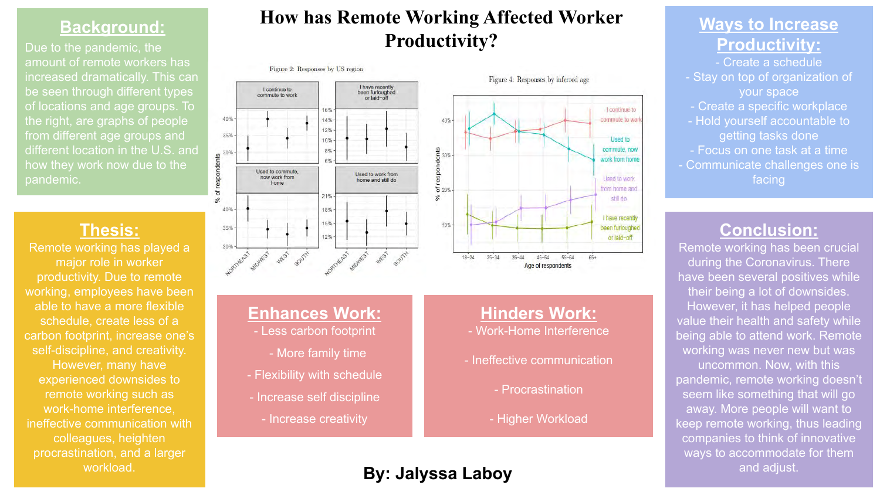#### **Background:**

Due to the pandemic, the amount of remote workers has increased dramatically. This can be seen through different types of locations and age groups. To the right, are graphs of people from different age groups and different location in the U.S. and pandemic.

#### **Thesis:**

Remote working has played a major role in worker productivity. Due to remote working, employees have been able to have a more flexible schedule, create less of a carbon footprint, increase one's self-discipline, and creativity. However, many have experienced downsides to remote working such as work-home interference, ineffective communication with colleagues, heighten procrastination, and a larger

#### **How has Remote Working Affected Worker Productivity?**

#### Figure 2: Responses by US region





#### **Enhances Work:**

- Less carbon footprint
	- More family time
- Flexibility with schedule
- Increase self discipline
	- Increase creativity

#### **Hinders Work:**

- Work-Home Interference
- Ineffective communication
	- Procrastination
	- Higher Workload

#### **Ways to Increase Productivity:**

- Create a schedule
- Stay on top of organization of your space
- Create a specific workplace
- Hold yourself accountable to getting tasks done
- Focus on one task at a time
- Communicate challenges one is facing

#### **Conclusion:**

Remote working has been crucial during the Coronavirus. There have been several positives while their being a lot of downsides. However, it has helped people value their health and safety while being able to attend work. Remote working was never new but was uncommon. Now, with this pandemic, remote working doesn't seem like something that will go away. More people will want to keep remote working, thus leading companies to think of innovative ways to accommodate for them and adjust.

#### workload. **By: Jalyssa Laboy**